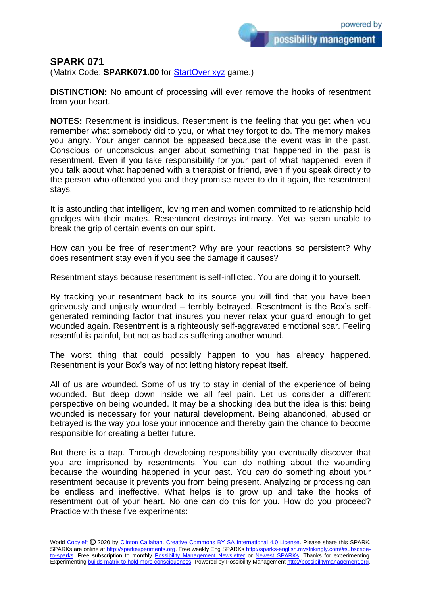possibility management

## **SPARK 071**

(Matrix Code: **SPARK071.00** for **StartOver.xyz** game.)

**DISTINCTION:** No amount of processing will ever remove the hooks of resentment from your heart.

**NOTES:** Resentment is insidious. Resentment is the feeling that you get when you remember what somebody did to you, or what they forgot to do. The memory makes you angry. Your anger cannot be appeased because the event was in the past. Conscious or unconscious anger about something that happened in the past is resentment. Even if you take responsibility for your part of what happened, even if you talk about what happened with a therapist or friend, even if you speak directly to the person who offended you and they promise never to do it again, the resentment stays.

It is astounding that intelligent, loving men and women committed to relationship hold grudges with their mates. Resentment destroys intimacy. Yet we seem unable to break the grip of certain events on our spirit.

How can you be free of resentment? Why are your reactions so persistent? Why does resentment stay even if you see the damage it causes?

Resentment stays because resentment is self-inflicted. You are doing it to yourself.

By tracking your resentment back to its source you will find that you have been grievously and unjustly wounded – terribly betrayed. Resentment is the Box's selfgenerated reminding factor that insures you never relax your guard enough to get wounded again. Resentment is a righteously self-aggravated emotional scar. Feeling resentful is painful, but not as bad as suffering another wound.

The worst thing that could possibly happen to you has already happened. Resentment is your Box's way of not letting history repeat itself.

All of us are wounded. Some of us try to stay in denial of the experience of being wounded. But deep down inside we all feel pain. Let us consider a different perspective on being wounded. It may be a shocking idea but the idea is this: being wounded is necessary for your natural development. Being abandoned, abused or betrayed is the way you lose your innocence and thereby gain the chance to become responsible for creating a better future.

But there is a trap. Through developing responsibility you eventually discover that you are imprisoned by resentments. You can do nothing about the wounding because the wounding happened in your past. You *can* do something about your resentment because it prevents you from being present. Analyzing or processing can be endless and ineffective. What helps is to grow up and take the hooks of resentment out of your heart. No one can do this for you. How do you proceed? Practice with these five experiments: